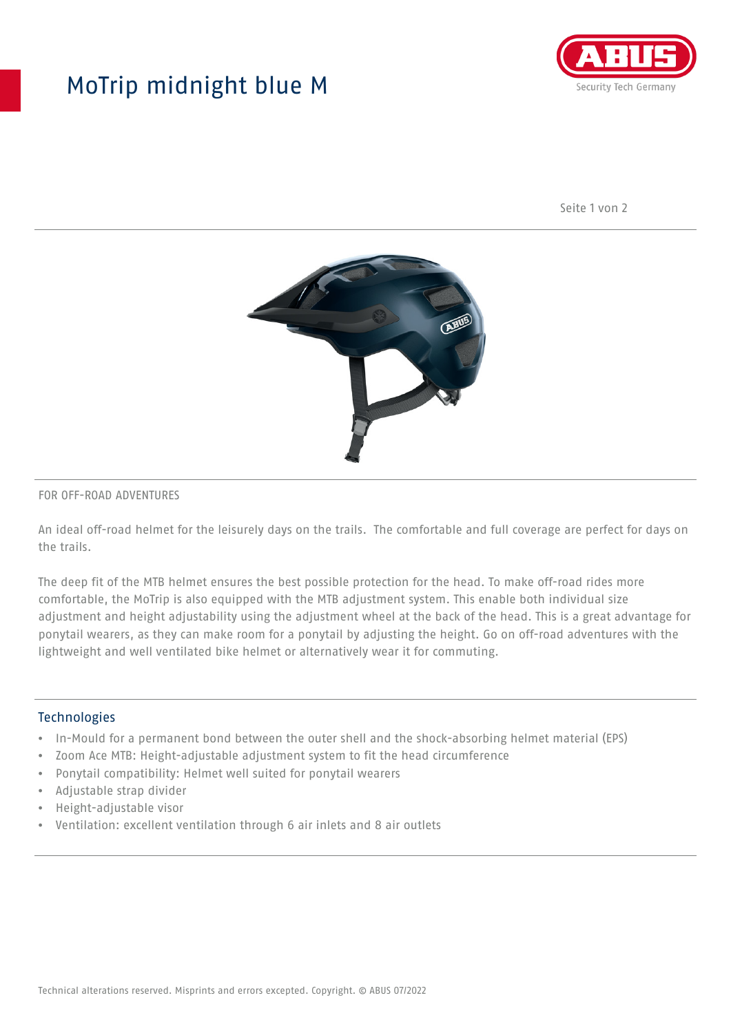## MoTrip midnight blue M



Seite 1 von 2



#### FOR OFF-ROAD ADVENTURES

An ideal off-road helmet for the leisurely days on the trails. The comfortable and full coverage are perfect for days on the trails.

The deep fit of the MTB helmet ensures the best possible protection for the head. To make off-road rides more comfortable, the MoTrip is also equipped with the MTB adjustment system. This enable both individual size adjustment and height adjustability using the adjustment wheel at the back of the head. This is a great advantage for ponytail wearers, as they can make room for a ponytail by adjusting the height. Go on off-road adventures with the lightweight and well ventilated bike helmet or alternatively wear it for commuting.

#### Technologies

- In-Mould for a permanent bond between the outer shell and the shock-absorbing helmet material (EPS)
- Zoom Ace MTB: Height-adjustable adjustment system to fit the head circumference
- Ponytail compatibility: Helmet well suited for ponytail wearers
- Adjustable strap divider
- Height-adjustable visor
- Ventilation: excellent ventilation through 6 air inlets and 8 air outlets